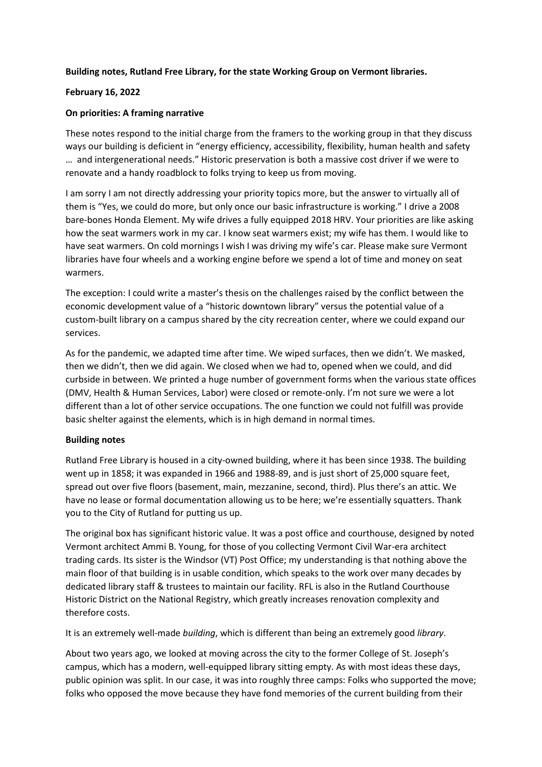## **Building notes, Rutland Free Library, for the state Working Group on Vermont libraries.**

## **February 16, 2022**

## **On priorities: A framing narrative**

These notes respond to the initial charge from the framers to the working group in that they discuss ways our building is deficient in "energy efficiency, accessibility, flexibility, human health and safety … and intergenerational needs." Historic preservation is both a massive cost driver if we were to renovate and a handy roadblock to folks trying to keep us from moving.

I am sorry I am not directly addressing your priority topics more, but the answer to virtually all of them is "Yes, we could do more, but only once our basic infrastructure is working." I drive a 2008 bare-bones Honda Element. My wife drives a fully equipped 2018 HRV. Your priorities are like asking how the seat warmers work in my car. I know seat warmers exist; my wife has them. I would like to have seat warmers. On cold mornings I wish I was driving my wife's car. Please make sure Vermont libraries have four wheels and a working engine before we spend a lot of time and money on seat warmers.

The exception: I could write a master's thesis on the challenges raised by the conflict between the economic development value of a "historic downtown library" versus the potential value of a custom-built library on a campus shared by the city recreation center, where we could expand our services.

As for the pandemic, we adapted time after time. We wiped surfaces, then we didn't. We masked, then we didn't, then we did again. We closed when we had to, opened when we could, and did curbside in between. We printed a huge number of government forms when the various state offices (DMV, Health & Human Services, Labor) were closed or remote-only. I'm not sure we were a lot different than a lot of other service occupations. The one function we could not fulfill was provide basic shelter against the elements, which is in high demand in normal times.

## **Building notes**

Rutland Free Library is housed in a city-owned building, where it has been since 1938. The building went up in 1858; it was expanded in 1966 and 1988-89, and is just short of 25,000 square feet, spread out over five floors (basement, main, mezzanine, second, third). Plus there's an attic. We have no lease or formal documentation allowing us to be here; we're essentially squatters. Thank you to the City of Rutland for putting us up.

The original box has significant historic value. It was a post office and courthouse, designed by noted Vermont architect Ammi B. Young, for those of you collecting Vermont Civil War-era architect trading cards. Its sister is the Windsor (VT) Post Office; my understanding is that nothing above the main floor of that building is in usable condition, which speaks to the work over many decades by dedicated library staff & trustees to maintain our facility. RFL is also in the Rutland Courthouse Historic District on the National Registry, which greatly increases renovation complexity and therefore costs.

It is an extremely well-made *building*, which is different than being an extremely good *library*.

About two years ago, we looked at moving across the city to the former College of St. Joseph's campus, which has a modern, well-equipped library sitting empty. As with most ideas these days, public opinion was split. In our case, it was into roughly three camps: Folks who supported the move; folks who opposed the move because they have fond memories of the current building from their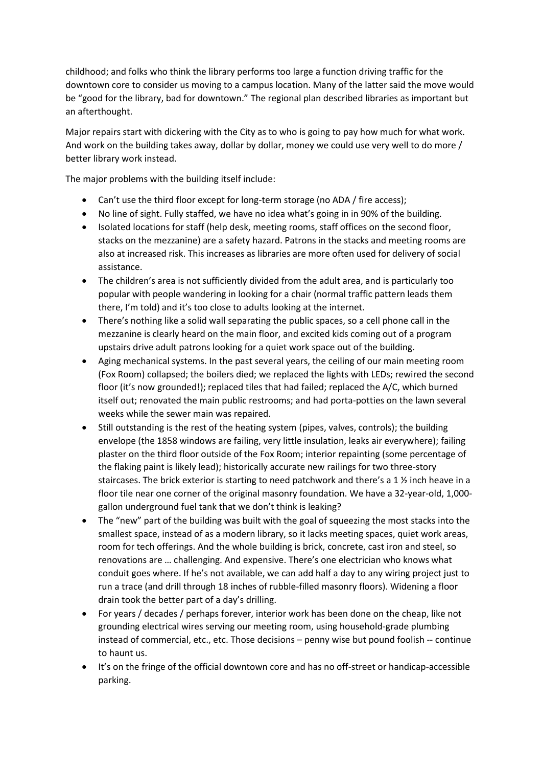childhood; and folks who think the library performs too large a function driving traffic for the downtown core to consider us moving to a campus location. Many of the latter said the move would be "good for the library, bad for downtown." The regional plan described libraries as important but an afterthought.

Major repairs start with dickering with the City as to who is going to pay how much for what work. And work on the building takes away, dollar by dollar, money we could use very well to do more / better library work instead.

The major problems with the building itself include:

- Can't use the third floor except for long-term storage (no ADA / fire access);
- No line of sight. Fully staffed, we have no idea what's going in in 90% of the building.
- Isolated locations for staff (help desk, meeting rooms, staff offices on the second floor, stacks on the mezzanine) are a safety hazard. Patrons in the stacks and meeting rooms are also at increased risk. This increases as libraries are more often used for delivery of social assistance.
- The children's area is not sufficiently divided from the adult area, and is particularly too popular with people wandering in looking for a chair (normal traffic pattern leads them there, I'm told) and it's too close to adults looking at the internet.
- There's nothing like a solid wall separating the public spaces, so a cell phone call in the mezzanine is clearly heard on the main floor, and excited kids coming out of a program upstairs drive adult patrons looking for a quiet work space out of the building.
- Aging mechanical systems. In the past several years, the ceiling of our main meeting room (Fox Room) collapsed; the boilers died; we replaced the lights with LEDs; rewired the second floor (it's now grounded!); replaced tiles that had failed; replaced the A/C, which burned itself out; renovated the main public restrooms; and had porta-potties on the lawn several weeks while the sewer main was repaired.
- Still outstanding is the rest of the heating system (pipes, valves, controls); the building envelope (the 1858 windows are failing, very little insulation, leaks air everywhere); failing plaster on the third floor outside of the Fox Room; interior repainting (some percentage of the flaking paint is likely lead); historically accurate new railings for two three-story staircases. The brick exterior is starting to need patchwork and there's a 1 ½ inch heave in a floor tile near one corner of the original masonry foundation. We have a 32-year-old, 1,000 gallon underground fuel tank that we don't think is leaking?
- The "new" part of the building was built with the goal of squeezing the most stacks into the smallest space, instead of as a modern library, so it lacks meeting spaces, quiet work areas, room for tech offerings. And the whole building is brick, concrete, cast iron and steel, so renovations are … challenging. And expensive. There's one electrician who knows what conduit goes where. If he's not available, we can add half a day to any wiring project just to run a trace (and drill through 18 inches of rubble-filled masonry floors). Widening a floor drain took the better part of a day's drilling.
- For years / decades / perhaps forever, interior work has been done on the cheap, like not grounding electrical wires serving our meeting room, using household-grade plumbing instead of commercial, etc., etc. Those decisions – penny wise but pound foolish -- continue to haunt us.
- It's on the fringe of the official downtown core and has no off-street or handicap-accessible parking.